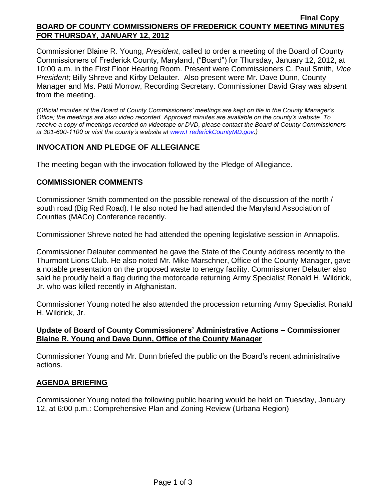#### **Final Copy BOARD OF COUNTY COMMISSIONERS OF FREDERICK COUNTY MEETING MINUTES FOR THURSDAY, JANUARY 12, 2012**

Commissioner Blaine R. Young, *President*, called to order a meeting of the Board of County Commissioners of Frederick County, Maryland, ("Board") for Thursday, January 12, 2012, at 10:00 a.m. in the First Floor Hearing Room. Present were Commissioners C. Paul Smith*, Vice President;* Billy Shreve and Kirby Delauter. Also present were Mr. Dave Dunn, County Manager and Ms. Patti Morrow, Recording Secretary. Commissioner David Gray was absent from the meeting.

*(Official minutes of the Board of County Commissioners' meetings are kept on file in the County Manager's Office; the meetings are also video recorded. Approved minutes are available on the county's website. To receive a copy of meetings recorded on videotape or DVD, please contact the Board of County Commissioners at 301-600-1100 or visit the county's website at [www.FrederickCountyMD.gov.](http://www.frederickcountymd.gov/))*

### **INVOCATION AND PLEDGE OF ALLEGIANCE**

The meeting began with the invocation followed by the Pledge of Allegiance.

## **COMMISSIONER COMMENTS**

Commissioner Smith commented on the possible renewal of the discussion of the north / south road (Big Red Road). He also noted he had attended the Maryland Association of Counties (MACo) Conference recently.

Commissioner Shreve noted he had attended the opening legislative session in Annapolis.

Commissioner Delauter commented he gave the State of the County address recently to the Thurmont Lions Club. He also noted Mr. Mike Marschner, Office of the County Manager, gave a notable presentation on the proposed waste to energy facility. Commissioner Delauter also said he proudly held a flag during the motorcade returning Army Specialist Ronald H. Wildrick, Jr. who was killed recently in Afghanistan.

Commissioner Young noted he also attended the procession returning Army Specialist Ronald H. Wildrick, Jr.

### **Update of Board of County Commissioners' Administrative Actions – Commissioner Blaine R. Young and Dave Dunn, Office of the County Manager**

Commissioner Young and Mr. Dunn briefed the public on the Board's recent administrative actions.

# **AGENDA BRIEFING**

Commissioner Young noted the following public hearing would be held on Tuesday, January 12, at 6:00 p.m.: Comprehensive Plan and Zoning Review (Urbana Region)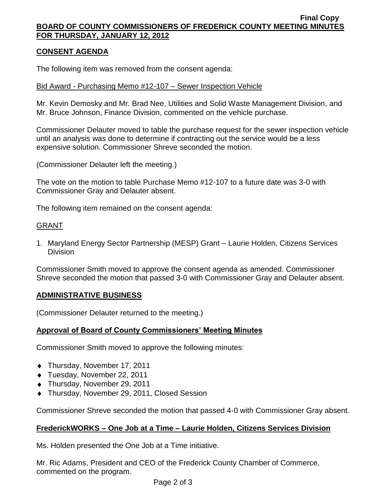#### **Final Copy BOARD OF COUNTY COMMISSIONERS OF FREDERICK COUNTY MEETING MINUTES FOR THURSDAY, JANUARY 12, 2012**

# **CONSENT AGENDA**

The following item was removed from the consent agenda:

### Bid Award - Purchasing Memo #12-107 – Sewer Inspection Vehicle

Mr. Kevin Demosky and Mr. Brad Nee, Utilities and Solid Waste Management Division, and Mr. Bruce Johnson, Finance Division, commented on the vehicle purchase.

Commissioner Delauter moved to table the purchase request for the sewer inspection vehicle until an analysis was done to determine if contracting out the service would be a less expensive solution. Commissioner Shreve seconded the motion.

(Commissioner Delauter left the meeting.)

The vote on the motion to table Purchase Memo #12-107 to a future date was 3-0 with Commissioner Gray and Delauter absent.

The following item remained on the consent agenda:

## GRANT

1. Maryland Energy Sector Partnership (MESP) Grant – Laurie Holden, Citizens Services **Division** 

Commissioner Smith moved to approve the consent agenda as amended. Commissioner Shreve seconded the motion that passed 3-0 with Commissioner Gray and Delauter absent.

# **ADMINISTRATIVE BUSINESS**

(Commissioner Delauter returned to the meeting.)

### **Approval of Board of County Commissioners' Meeting Minutes**

Commissioner Smith moved to approve the following minutes:

- ◆ Thursday, November 17, 2011
- Tuesday, November 22, 2011
- Thursday, November 29, 2011
- ◆ Thursday, November 29, 2011, Closed Session

Commissioner Shreve seconded the motion that passed 4-0 with Commissioner Gray absent.

### **FrederickWORKS – One Job at a Time – Laurie Holden, Citizens Services Division**

Ms. Holden presented the One Job at a Time initiative.

Mr. Ric Adams, President and CEO of the Frederick County Chamber of Commerce, commented on the program.